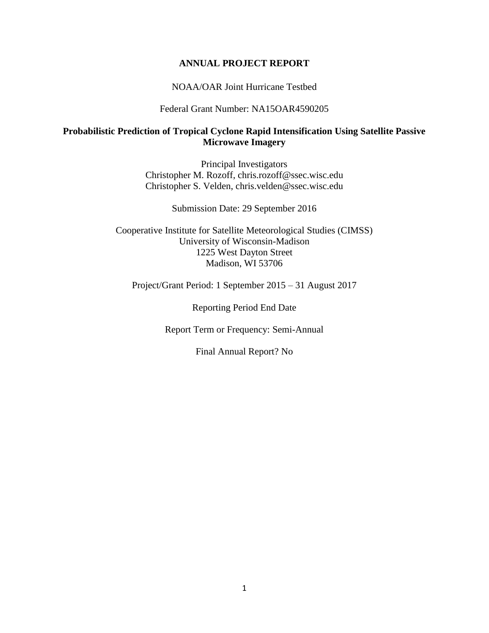#### **ANNUAL PROJECT REPORT**

#### NOAA/OAR Joint Hurricane Testbed

Federal Grant Number: NA15OAR4590205

#### **Probabilistic Prediction of Tropical Cyclone Rapid Intensification Using Satellite Passive Microwave Imagery**

Principal Investigators Christopher M. Rozoff, chris.rozoff@ssec.wisc.edu Christopher S. Velden, chris.velden@ssec.wisc.edu

Submission Date: 29 September 2016

Cooperative Institute for Satellite Meteorological Studies (CIMSS) University of Wisconsin-Madison 1225 West Dayton Street Madison, WI 53706

Project/Grant Period: 1 September 2015 – 31 August 2017

Reporting Period End Date

Report Term or Frequency: Semi-Annual

Final Annual Report? No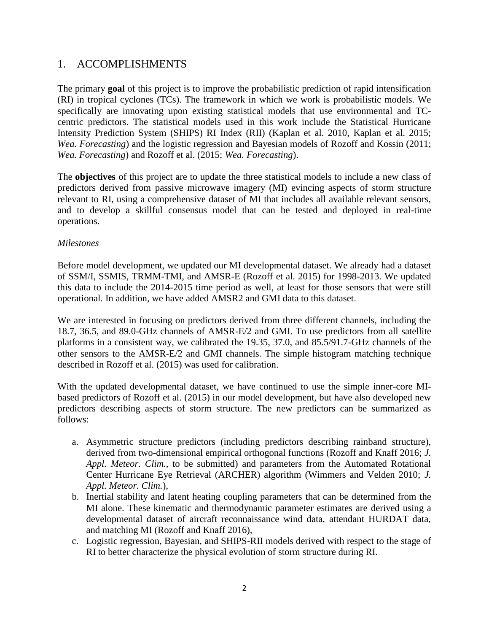## 1. ACCOMPLISHMENTS

The primary **goal** of this project is to improve the probabilistic prediction of rapid intensification (RI) in tropical cyclones (TCs). The framework in which we work is probabilistic models. We specifically are innovating upon existing statistical models that use environmental and TCcentric predictors. The statistical models used in this work include the Statistical Hurricane Intensity Prediction System (SHIPS) RI Index (RII) (Kaplan et al. 2010, Kaplan et al. 2015; *Wea. Forecasting*) and the logistic regression and Bayesian models of Rozoff and Kossin (2011; *Wea. Forecasting*) and Rozoff et al. (2015; *Wea. Forecasting*).

The **objectives** of this project are to update the three statistical models to include a new class of predictors derived from passive microwave imagery (MI) evincing aspects of storm structure relevant to RI, using a comprehensive dataset of MI that includes all available relevant sensors, and to develop a skillful consensus model that can be tested and deployed in real-time operations.

#### *Milestones*

Before model development, we updated our MI developmental dataset. We already had a dataset of SSM/I, SSMIS, TRMM-TMI, and AMSR-E (Rozoff et al. 2015) for 1998-2013. We updated this data to include the 2014-2015 time period as well, at least for those sensors that were still operational. In addition, we have added AMSR2 and GMI data to this dataset.

We are interested in focusing on predictors derived from three different channels, including the 18.7, 36.5, and 89.0-GHz channels of AMSR-E/2 and GMI. To use predictors from all satellite platforms in a consistent way, we calibrated the 19.35, 37.0, and 85.5/91.7-GHz channels of the other sensors to the AMSR-E/2 and GMI channels. The simple histogram matching technique described in Rozoff et al. (2015) was used for calibration.

With the updated developmental dataset, we have continued to use the simple inner-core MIbased predictors of Rozoff et al. (2015) in our model development, but have also developed new predictors describing aspects of storm structure. The new predictors can be summarized as follows:

- a. Asymmetric structure predictors (including predictors describing rainband structure), derived from two-dimensional empirical orthogonal functions (Rozoff and Knaff 2016; *J. Appl. Meteor. Clim.*, to be submitted) and parameters from the Automated Rotational Center Hurricane Eye Retrieval (ARCHER) algorithm (Wimmers and Velden 2010; *J. Appl. Meteor. Clim.*),
- b. Inertial stability and latent heating coupling parameters that can be determined from the MI alone. These kinematic and thermodynamic parameter estimates are derived using a developmental dataset of aircraft reconnaissance wind data, attendant HURDAT data, and matching MI (Rozoff and Knaff 2016),
- c. Logistic regression, Bayesian, and SHIPS-RII models derived with respect to the stage of RI to better characterize the physical evolution of storm structure during RI.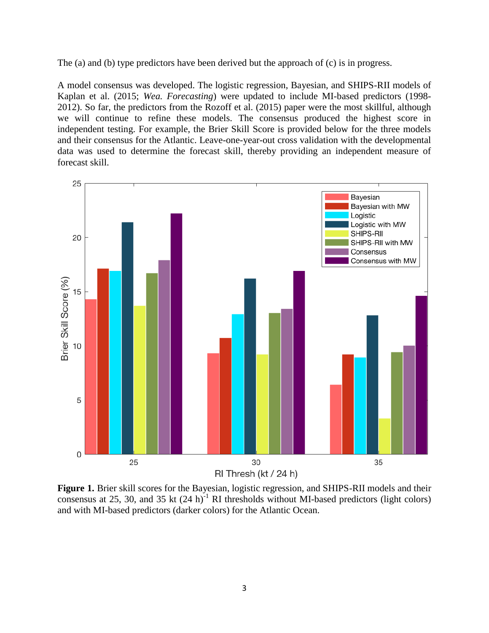The (a) and (b) type predictors have been derived but the approach of (c) is in progress.

A model consensus was developed. The logistic regression, Bayesian, and SHIPS-RII models of Kaplan et al. (2015; *Wea. Forecasting*) were updated to include MI-based predictors (1998- 2012). So far, the predictors from the Rozoff et al. (2015) paper were the most skillful, although we will continue to refine these models. The consensus produced the highest score in independent testing. For example, the Brier Skill Score is provided below for the three models and their consensus for the Atlantic. Leave-one-year-out cross validation with the developmental data was used to determine the forecast skill, thereby providing an independent measure of forecast skill.



**Figure 1.** Brier skill scores for the Bayesian, logistic regression, and SHIPS-RII models and their consensus at 25, 30, and 35 kt  $(24 h)^{-1}$  RI thresholds without MI-based predictors (light colors) and with MI-based predictors (darker colors) for the Atlantic Ocean.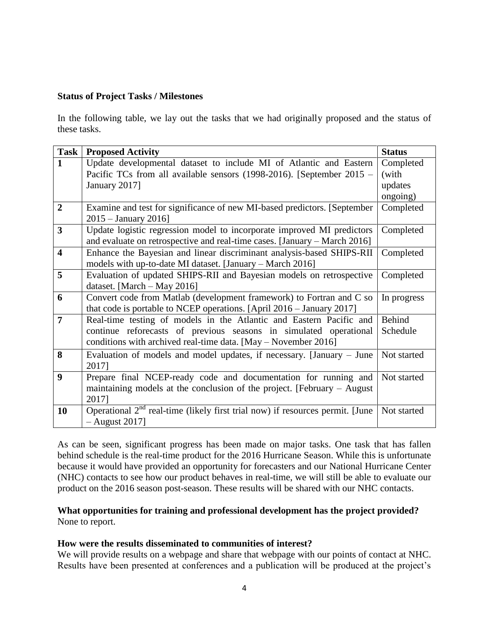#### **Status of Project Tasks / Milestones**

In the following table, we lay out the tasks that we had originally proposed and the status of these tasks.

| <b>Task</b>             | <b>Proposed Activity</b>                                                        | <b>Status</b> |
|-------------------------|---------------------------------------------------------------------------------|---------------|
| 1                       | Update developmental dataset to include MI of Atlantic and Eastern              | Completed     |
|                         | Pacific TCs from all available sensors (1998-2016). [September 2015 –           | (with         |
|                         | January 2017]                                                                   | updates       |
|                         |                                                                                 | ongoing)      |
| $\overline{2}$          | Examine and test for significance of new MI-based predictors. [September        | Completed     |
|                         | $2015 - January 2016$                                                           |               |
| $\overline{\mathbf{3}}$ | Update logistic regression model to incorporate improved MI predictors          | Completed     |
|                         | and evaluate on retrospective and real-time cases. [January – March 2016]       |               |
| $\overline{\mathbf{4}}$ | Enhance the Bayesian and linear discriminant analysis-based SHIPS-RII           | Completed     |
|                         | models with up-to-date MI dataset. [January – March 2016]                       |               |
| 5                       | Evaluation of updated SHIPS-RII and Bayesian models on retrospective            | Completed     |
|                         | dataset. [March $-$ May 2016]                                                   |               |
| 6                       | Convert code from Matlab (development framework) to Fortran and C so            | In progress   |
|                         | that code is portable to NCEP operations. [April $2016 -$ January 2017]         |               |
| $\overline{7}$          | Real-time testing of models in the Atlantic and Eastern Pacific and             | Behind        |
|                         | continue reforecasts of previous seasons in simulated operational               | Schedule      |
|                         | conditions with archived real-time data. [May – November 2016]                  |               |
| 8                       | Evaluation of models and model updates, if necessary. [January – June           | Not started   |
|                         | 2017]                                                                           |               |
| 9                       | Prepare final NCEP-ready code and documentation for running and                 | Not started   |
|                         | maintaining models at the conclusion of the project. [February $-$ August       |               |
|                         | 2017]                                                                           |               |
| 10                      | Operational $2nd$ real-time (likely first trial now) if resources permit. [June | Not started   |
|                         | $-$ August 2017]                                                                |               |

As can be seen, significant progress has been made on major tasks. One task that has fallen behind schedule is the real-time product for the 2016 Hurricane Season. While this is unfortunate because it would have provided an opportunity for forecasters and our National Hurricane Center (NHC) contacts to see how our product behaves in real-time, we will still be able to evaluate our product on the 2016 season post-season. These results will be shared with our NHC contacts.

#### **What opportunities for training and professional development has the project provided?** None to report.

#### **How were the results disseminated to communities of interest?**

We will provide results on a webpage and share that webpage with our points of contact at NHC. Results have been presented at conferences and a publication will be produced at the project's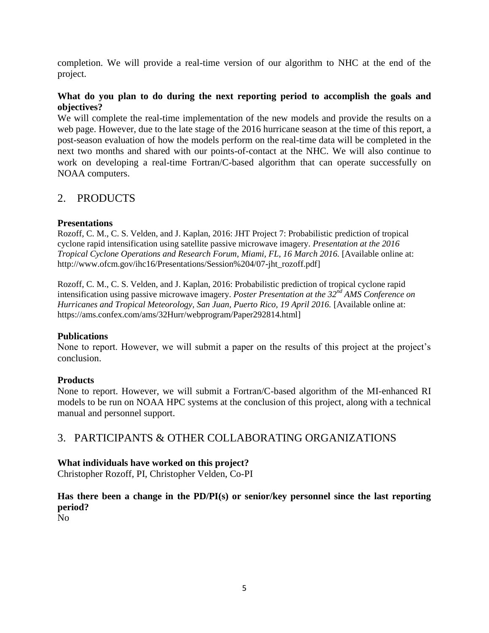completion. We will provide a real-time version of our algorithm to NHC at the end of the project.

### **What do you plan to do during the next reporting period to accomplish the goals and objectives?**

We will complete the real-time implementation of the new models and provide the results on a web page. However, due to the late stage of the 2016 hurricane season at the time of this report, a post-season evaluation of how the models perform on the real-time data will be completed in the next two months and shared with our points-of-contact at the NHC. We will also continue to work on developing a real-time Fortran/C-based algorithm that can operate successfully on NOAA computers.

# 2. PRODUCTS

#### **Presentations**

Rozoff, C. M., C. S. Velden, and J. Kaplan, 2016: JHT Project 7: Probabilistic prediction of tropical cyclone rapid intensification using satellite passive microwave imagery. *Presentation at the 2016 Tropical Cyclone Operations and Research Forum, Miami, FL, 16 March 2016.* [Available online at: http://www.ofcm.gov/ihc16/Presentations/Session%204/07-jht\_rozoff.pdf]

Rozoff, C. M., C. S. Velden, and J. Kaplan, 2016: Probabilistic prediction of tropical cyclone rapid intensification using passive microwave imagery. *Poster Presentation at the 32nd AMS Conference on Hurricanes and Tropical Meteorology, San Juan, Puerto Rico, 19 April 2016.* [Available online at: https://ams.confex.com/ams/32Hurr/webprogram/Paper292814.html]

#### **Publications**

None to report. However, we will submit a paper on the results of this project at the project's conclusion.

### **Products**

None to report. However, we will submit a Fortran/C-based algorithm of the MI-enhanced RI models to be run on NOAA HPC systems at the conclusion of this project, along with a technical manual and personnel support.

## 3. PARTICIPANTS & OTHER COLLABORATING ORGANIZATIONS

#### **What individuals have worked on this project?**

Christopher Rozoff, PI, Christopher Velden, Co-PI

## **Has there been a change in the PD/PI(s) or senior/key personnel since the last reporting period?**

No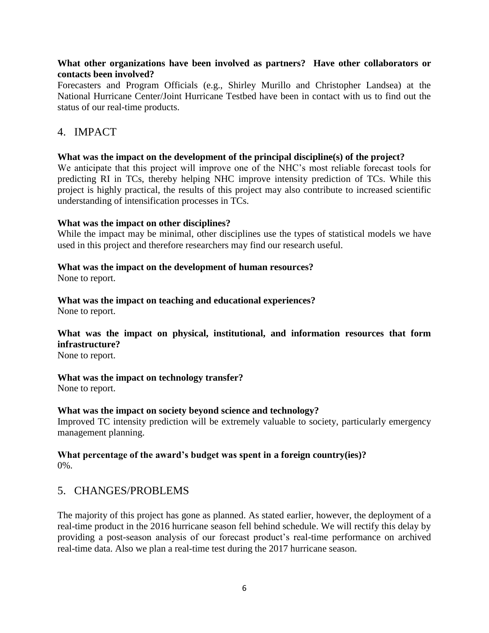#### **What other organizations have been involved as partners? Have other collaborators or contacts been involved?**

Forecasters and Program Officials (e.g., Shirley Murillo and Christopher Landsea) at the National Hurricane Center/Joint Hurricane Testbed have been in contact with us to find out the status of our real-time products.

## 4. IMPACT

#### **What was the impact on the development of the principal discipline(s) of the project?**

We anticipate that this project will improve one of the NHC's most reliable forecast tools for predicting RI in TCs, thereby helping NHC improve intensity prediction of TCs. While this project is highly practical, the results of this project may also contribute to increased scientific understanding of intensification processes in TCs.

#### **What was the impact on other disciplines?**

While the impact may be minimal, other disciplines use the types of statistical models we have used in this project and therefore researchers may find our research useful.

#### **What was the impact on the development of human resources?**

None to report.

## **What was the impact on teaching and educational experiences?**

None to report.

## **What was the impact on physical, institutional, and information resources that form infrastructure?**

None to report.

### **What was the impact on technology transfer?**

None to report.

### **What was the impact on society beyond science and technology?**

Improved TC intensity prediction will be extremely valuable to society, particularly emergency management planning.

#### **What percentage of the award's budget was spent in a foreign country(ies)?** 0%.

## 5. CHANGES/PROBLEMS

The majority of this project has gone as planned. As stated earlier, however, the deployment of a real-time product in the 2016 hurricane season fell behind schedule. We will rectify this delay by providing a post-season analysis of our forecast product's real-time performance on archived real-time data. Also we plan a real-time test during the 2017 hurricane season.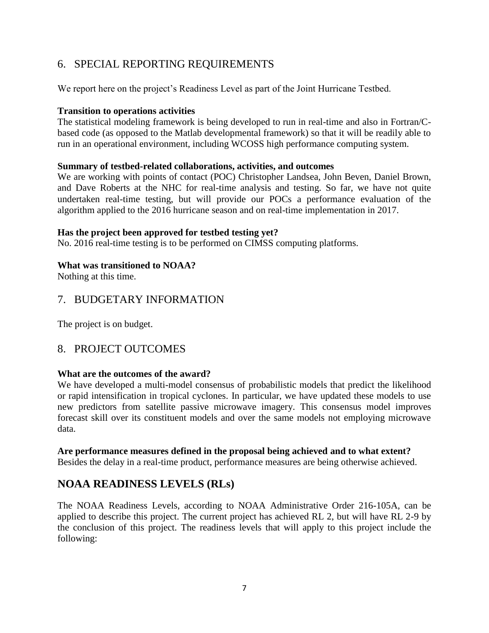# 6. SPECIAL REPORTING REQUIREMENTS

We report here on the project's Readiness Level as part of the Joint Hurricane Testbed.

### **Transition to operations activities**

The statistical modeling framework is being developed to run in real-time and also in Fortran/Cbased code (as opposed to the Matlab developmental framework) so that it will be readily able to run in an operational environment, including WCOSS high performance computing system.

### **Summary of testbed-related collaborations, activities, and outcomes**

We are working with points of contact (POC) Christopher Landsea, John Beven, Daniel Brown, and Dave Roberts at the NHC for real-time analysis and testing. So far, we have not quite undertaken real-time testing, but will provide our POCs a performance evaluation of the algorithm applied to the 2016 hurricane season and on real-time implementation in 2017.

### **Has the project been approved for testbed testing yet?**

No. 2016 real-time testing is to be performed on CIMSS computing platforms.

## **What was transitioned to NOAA?**

Nothing at this time.

# 7. BUDGETARY INFORMATION

The project is on budget.

# 8. PROJECT OUTCOMES

### **What are the outcomes of the award?**

We have developed a multi-model consensus of probabilistic models that predict the likelihood or rapid intensification in tropical cyclones. In particular, we have updated these models to use new predictors from satellite passive microwave imagery. This consensus model improves forecast skill over its constituent models and over the same models not employing microwave data.

### **Are performance measures defined in the proposal being achieved and to what extent?**

Besides the delay in a real-time product, performance measures are being otherwise achieved.

# **NOAA READINESS LEVELS (RLs)**

The NOAA Readiness Levels, according to NOAA Administrative Order 216-105A, can be applied to describe this project. The current project has achieved RL 2, but will have RL 2-9 by the conclusion of this project. The readiness levels that will apply to this project include the following: